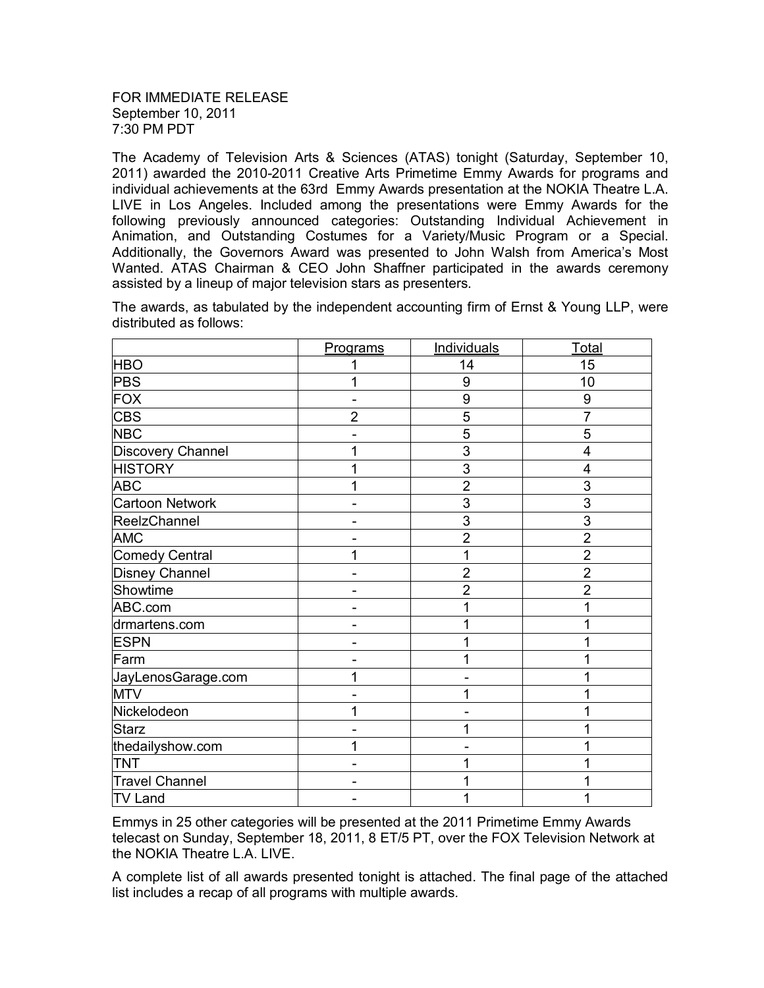The Academy of Television Arts & Sciences (ATAS) tonight (Saturday, September 10, 2011) awarded the 2010-2011 Creative Arts Primetime Emmy Awards for programs and individual achievements at the 63rd Emmy Awards presentation at the NOKIA Theatre L.A. LIVE in Los Angeles. Included among the presentations were Emmy Awards for the following previously announced categories: Outstanding Individual Achievement in Animation, and Outstanding Costumes for a Variety/Music Program or a Special. Additionally, the Governors Award was presented to John Walsh from America's Most Wanted. ATAS Chairman & CEO John Shaffner participated in the awards ceremony assisted by a lineup of major television stars as presenters.

|                       | Programs       | <b>Individuals</b> | <u>Total</u>   |
|-----------------------|----------------|--------------------|----------------|
| <b>HBO</b>            | 1              | 14                 | 15             |
| <b>PBS</b>            |                | 9                  | 10             |
| <b>FOX</b>            |                | 9                  | 9              |
| <b>CBS</b>            | $\overline{2}$ | 5                  | $\overline{7}$ |
| <b>NBC</b>            |                | 5                  | 5              |
| Discovery Channel     | 1              | 3                  | 4              |
| <b>HISTORY</b>        | 1              | 3                  | 4              |
| <b>ABC</b>            | 1              | $\overline{2}$     | 3              |
| Cartoon Network       |                | 3                  | 3              |
| ReelzChannel          |                | 3                  | 3              |
| <b>AMC</b>            |                | $\overline{2}$     | $\overline{2}$ |
| Comedy Central        | 1              |                    | $\overline{2}$ |
| <b>Disney Channel</b> |                | $\overline{2}$     | $\overline{2}$ |
| Showtime              |                | $\overline{2}$     | $\overline{2}$ |
| ABC.com               |                |                    |                |
| drmartens.com         |                |                    |                |
| <b>ESPN</b>           |                |                    |                |
| Farm                  |                |                    |                |
| JayLenosGarage.com    | 1              |                    |                |
| <b>MTV</b>            |                |                    |                |
| Nickelodeon           | 1              |                    |                |
| <b>Starz</b>          |                |                    |                |
| thedailyshow.com      | 1              |                    |                |
| TNT                   |                |                    |                |
| <b>Travel Channel</b> |                |                    |                |
| <b>TV Land</b>        |                | 1                  |                |

The awards, as tabulated by the independent accounting firm of Ernst & Young LLP, were distributed as follows:

Emmys in 25 other categories will be presented at the 2011 Primetime Emmy Awards telecast on Sunday, September 18, 2011, 8 ET/5 PT, over the FOX Television Network at the NOKIA Theatre L.A. LIVE.

A complete list of all awards presented tonight is attached. The final page of the attached list includes a recap of all programs with multiple awards.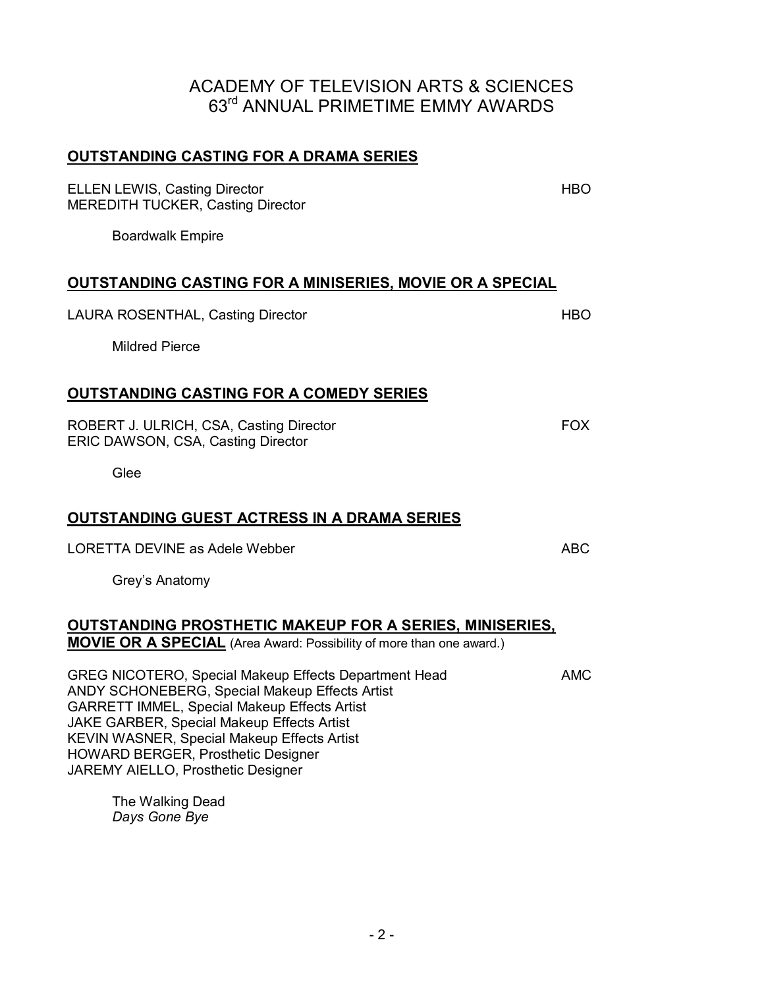#### **OUTSTANDING CASTING FOR A DRAMA SERIES**

ELLEN LEWIS, Casting Director **HBO** MEREDITH TUCKER, Casting Director

Boardwalk Empire

#### **OUTSTANDING CASTING FOR A MINISERIES, MOVIE OR A SPECIAL**

LAURA ROSENTHAL, Casting Director **HBO** 

Mildred Pierce

#### **OUTSTANDING CASTING FOR A COMEDY SERIES**

ROBERT J. ULRICH, CSA, Casting Director FOX ERIC DAWSON, CSA, Casting Director

Glee

#### **OUTSTANDING GUEST ACTRESS IN A DRAMA SERIES**

LORETTA DEVINE as Adele Webber ABC ABC

Grey's Anatomy

#### **OUTSTANDING PROSTHETIC MAKEUP FOR A SERIES, MINISERIES,**

**MOVIE OR A SPECIAL** (Area Award: Possibility of more than one award.)

GREG NICOTERO, Special Makeup Effects Department Head AMC ANDY SCHONEBERG, Special Makeup Effects Artist GARRETT IMMEL, Special Makeup Effects Artist JAKE GARBER, Special Makeup Effects Artist KEVIN WASNER, Special Makeup Effects Artist HOWARD BERGER, Prosthetic Designer JAREMY AIELLO, Prosthetic Designer

The Walking Dead *Days Gone Bye*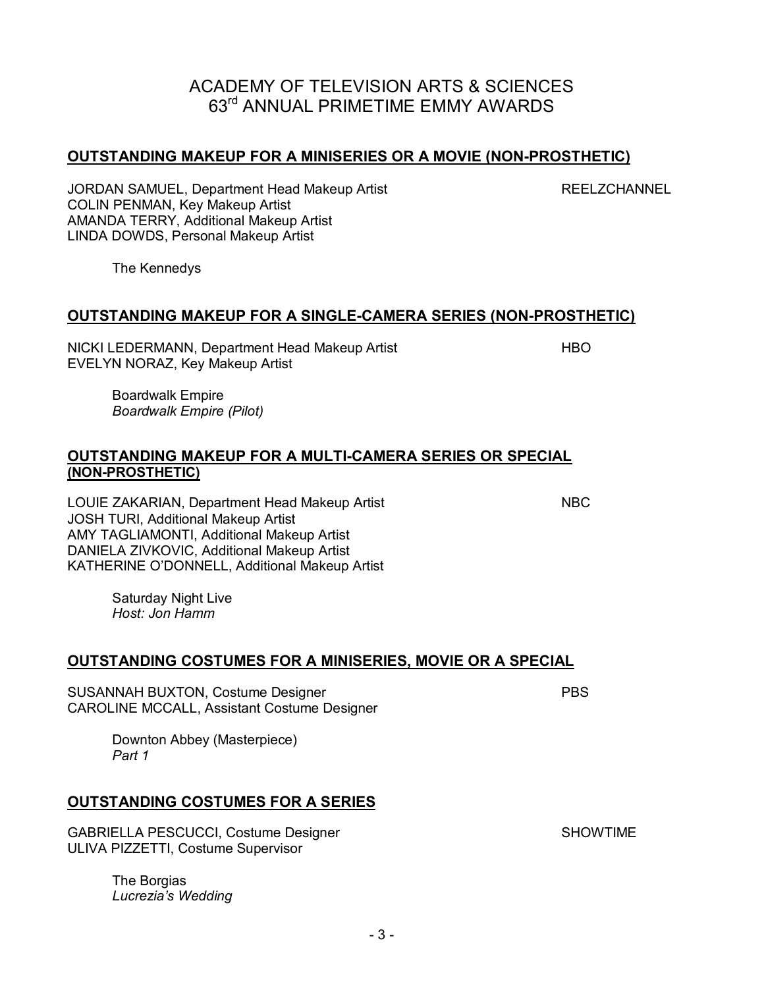#### **OUTSTANDING MAKEUP FOR A MINISERIES OR A MOVIE (NON-PROSTHETIC)**

JORDAN SAMUEL, Department Head Makeup Artist **REELZCHANNEL** COLIN PENMAN, Key Makeup Artist AMANDA TERRY, Additional Makeup Artist LINDA DOWDS, Personal Makeup Artist

The Kennedys

#### **OUTSTANDING MAKEUP FOR A SINGLE-CAMERA SERIES (NON-PROSTHETIC)**

NICKI LEDERMANN, Department Head Makeup Artist **HIMO** EVELYN NORAZ, Key Makeup Artist

Boardwalk Empire *Boardwalk Empire (Pilot)* 

#### **OUTSTANDING MAKEUP FOR A MULTI-CAMERA SERIES OR SPECIAL (NON-PROSTHETIC)**

LOUIE ZAKARIAN, Department Head Makeup Artist NBC JOSH TURI, Additional Makeup Artist AMY TAGLIAMONTI, Additional Makeup Artist DANIELA ZIVKOVIC, Additional Makeup Artist KATHERINE O'DONNELL, Additional Makeup Artist

Saturday Night Live *Host: Jon Hamm* 

#### **OUTSTANDING COSTUMES FOR A MINISERIES, MOVIE OR A SPECIAL**

SUSANNAH BUXTON, Costume Designer **PBS** CAROLINE MCCALL, Assistant Costume Designer

Downton Abbey (Masterpiece) *Part 1* 

#### **OUTSTANDING COSTUMES FOR A SERIES**

GABRIELLA PESCUCCI, Costume Designer SHOWTIME ULIVA PIZZETTI, Costume Supervisor

The Borgias *Lucrezia's Wedding*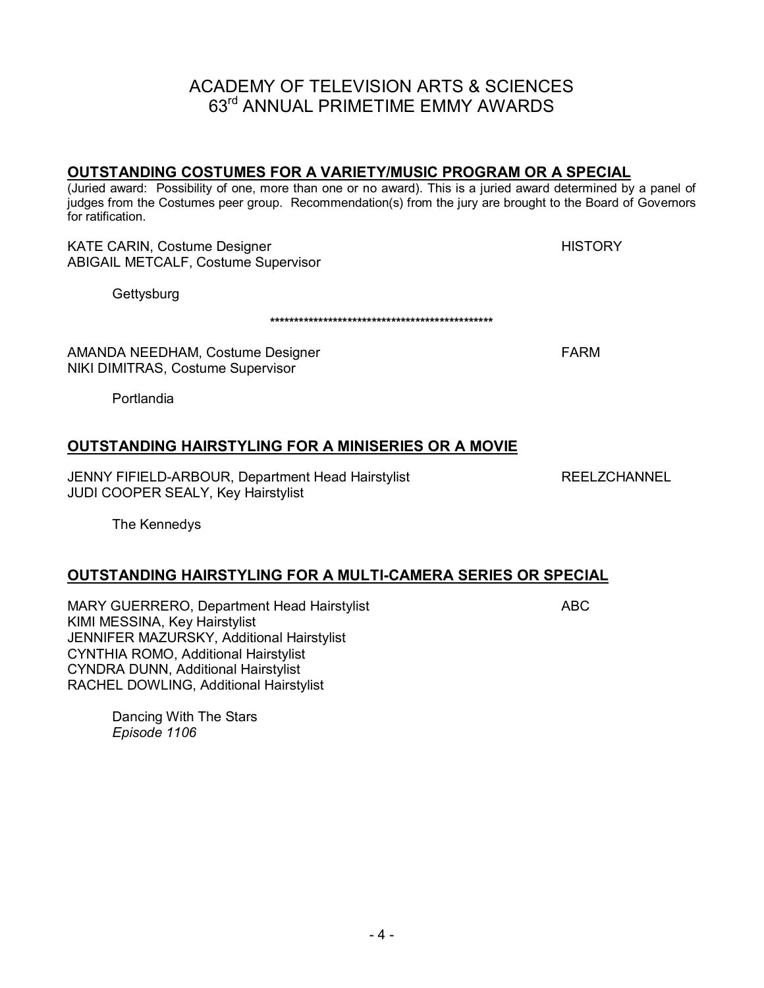#### **OUTSTANDING COSTUMES FOR A VARIETY/MUSIC PROGRAM OR A SPECIAL**

(Juried award: Possibility of one, more than one or no award). This is a juried award determined by a panel of judges from the Costumes peer group. Recommendation(s) from the jury are brought to the Board of Governors for ratification.

**\*\*\*\*\*\*\*\*\*\*\*\*\*\*\*\*\*\*\*\*\*\*\*\*\*\*\*\*\*\*\*\*\*\*\*\*\*\*\*\*\*\*\*\*\*\*** 

KATE CARIN, Costume Designer HISTORY HISTORY ABIGAIL METCALF, Costume Supervisor

**Gettysburg** 

AMANDA NEEDHAM, Costume Designer FARM NIKI DIMITRAS, Costume Supervisor

Portlandia

#### **OUTSTANDING HAIRSTYLING FOR A MINISERIES OR A MOVIE**

JENNY FIFIELD-ARBOUR, Department Head Hairstylist REELZCHANNEL JUDI COOPER SEALY, Key Hairstylist

The Kennedys

#### **OUTSTANDING HAIRSTYLING FOR A MULTI-CAMERA SERIES OR SPECIAL**

MARY GUERRERO, Department Head Hairstylist **ABC** KIMI MESSINA, Key Hairstylist JENNIFER MAZURSKY, Additional Hairstylist CYNTHIA ROMO, Additional Hairstylist CYNDRA DUNN, Additional Hairstylist RACHEL DOWLING, Additional Hairstylist

Dancing With The Stars *Episode 1106*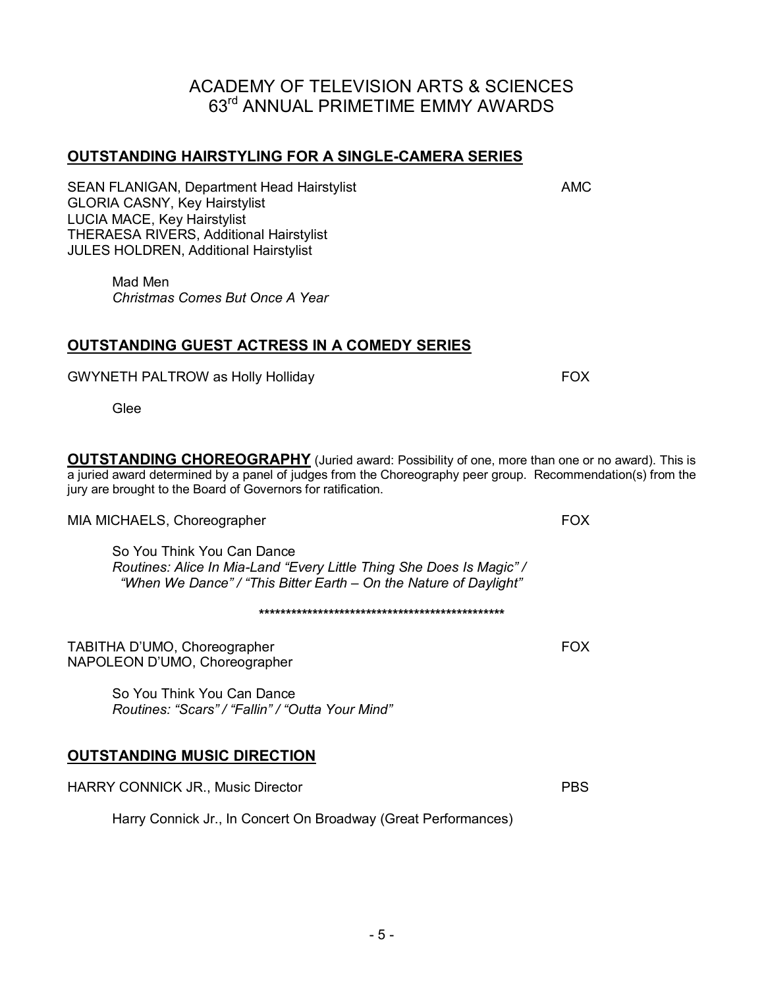#### **OUTSTANDING HAIRSTYLING FOR A SINGLE-CAMERA SERIES**

SEAN FLANIGAN, Department Head Hairstylist **AMC** GLORIA CASNY, Key Hairstylist LUCIA MACE, Key Hairstylist THERAESA RIVERS, Additional Hairstylist JULES HOLDREN, Additional Hairstylist

Mad Men *Christmas Comes But Once A Year* 

#### **OUTSTANDING GUEST ACTRESS IN A COMEDY SERIES**

GWYNETH PALTROW as Holly Holliday **FOX** 

Glee

**OUTSTANDING CHOREOGRAPHY** (Juried award: Possibility of one, more than one or no award). This is a juried award determined by a panel of judges from the Choreography peer group. Recommendation(s) from the jury are brought to the Board of Governors for ratification.

MIA MICHAELS, Choreographer FOX

So You Think You Can Dance *Routines: Alice In Mia-Land "Every Little Thing She Does Is Magic" / "When We Dance" / "This Bitter Earth – On the Nature of Daylight"* 

**\*\*\*\*\*\*\*\*\*\*\*\*\*\*\*\*\*\*\*\*\*\*\*\*\*\*\*\*\*\*\*\*\*\*\*\*\*\*\*\*\*\*\*\*\*\*** 

TABITHA D'UMO, Choreographer FOX NAPOLEON D'UMO, Choreographer

So You Think You Can Dance *Routines: "Scars" / "Fallin" / "Outta Your Mind"* 

#### **OUTSTANDING MUSIC DIRECTION**

HARRY CONNICK JR., Music Director **PBS** 

Harry Connick Jr., In Concert On Broadway (Great Performances)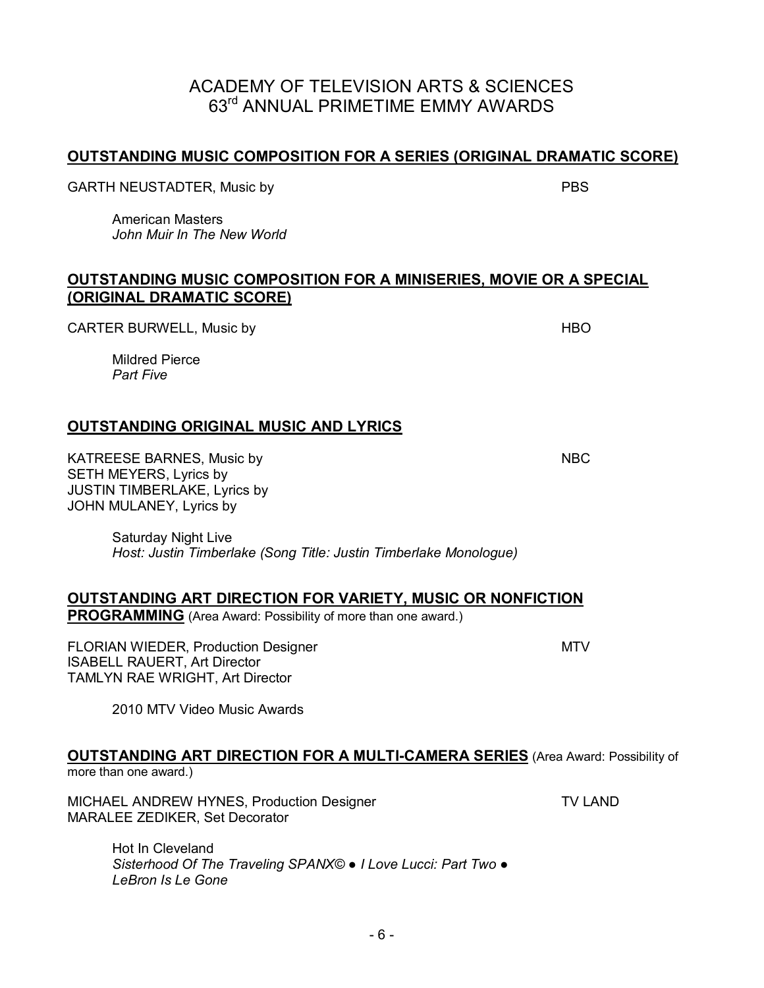#### **OUTSTANDING MUSIC COMPOSITION FOR A SERIES (ORIGINAL DRAMATIC SCORE)**

GARTH NEUSTADTER, Music by PBS

American Masters *John Muir In The New World* 

#### **OUTSTANDING MUSIC COMPOSITION FOR A MINISERIES, MOVIE OR A SPECIAL (ORIGINAL DRAMATIC SCORE)**

CARTER BURWELL, Music by **HBO** 

Mildred Pierce *Part Five* 

#### **OUTSTANDING ORIGINAL MUSIC AND LYRICS**

KATREESE BARNES, Music by NBC SETH MEYERS, Lyrics by JUSTIN TIMBERLAKE, Lyrics by JOHN MULANEY, Lyrics by

Saturday Night Live *Host: Justin Timberlake (Song Title: Justin Timberlake Monologue)* 

#### **OUTSTANDING ART DIRECTION FOR VARIETY, MUSIC OR NONFICTION**

**PROGRAMMING** (Area Award: Possibility of more than one award.)

FLORIAN WIEDER, Production Designer MTV and MTV ISABELL RAUERT, Art Director TAMLYN RAE WRIGHT, Art Director

2010 MTV Video Music Awards

# **OUTSTANDING ART DIRECTION FOR A MULTI-CAMERA SERIES** (Area Award: Possibility of

more than one award.)

MICHAEL ANDREW HYNES, Production Designer TV LAND MARALEE ZEDIKER, Set Decorator

Hot In Cleveland *Sisterhood Of The Traveling SPANX© ● I Love Lucci: Part Two ● LeBron Is Le Gone*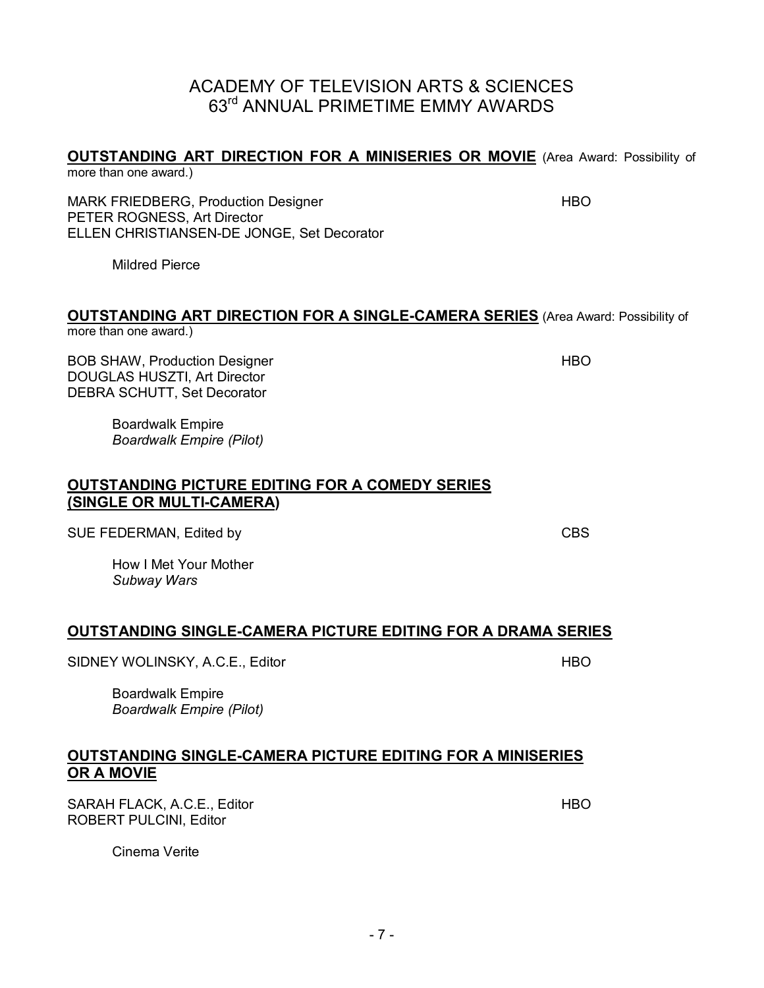# **OUTSTANDING ART DIRECTION FOR A MINISERIES OR MOVIE** (Area Award: Possibility of

more than one award.)

MARK FRIEDBERG, Production Designer HBO HBO PETER ROGNESS, Art Director ELLEN CHRISTIANSEN-DE JONGE, Set Decorator

Mildred Pierce

#### **OUTSTANDING ART DIRECTION FOR A SINGLE-CAMERA SERIES** (Area Award: Possibility of more than one award.)

BOB SHAW, Production Designer HBO And the HBO DOUGLAS HUSZTI, Art Director DEBRA SCHUTT, Set Decorator

Boardwalk Empire *Boardwalk Empire (Pilot)* 

#### **OUTSTANDING PICTURE EDITING FOR A COMEDY SERIES (SINGLE OR MULTI-CAMERA)**

SUE FEDERMAN, Edited by CBS

How I Met Your Mother *Subway Wars* 

#### **OUTSTANDING SINGLE-CAMERA PICTURE EDITING FOR A DRAMA SERIES**

SIDNEY WOLINSKY, A.C.E., Editor HBO And HBO HBO

Boardwalk Empire *Boardwalk Empire (Pilot)* 

#### **OUTSTANDING SINGLE-CAMERA PICTURE EDITING FOR A MINISERIES OR A MOVIE**

SARAH FLACK, A.C.E., Editor **HBO** HBO ROBERT PULCINI, Editor

Cinema Verite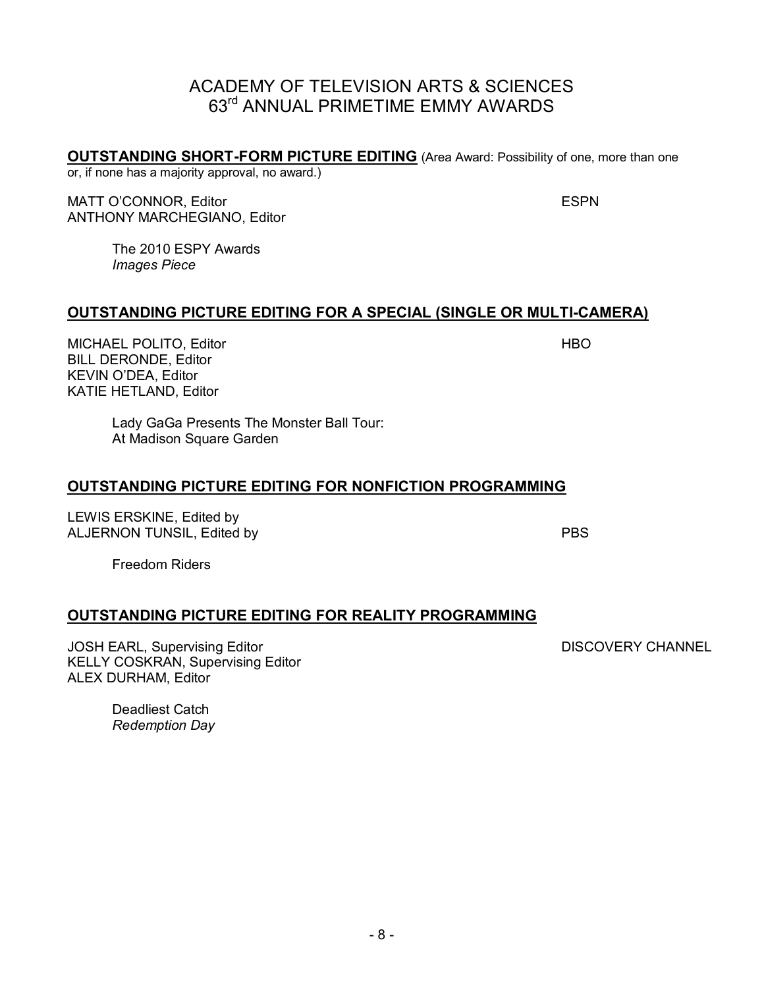**OUTSTANDING SHORT-FORM PICTURE EDITING** (Area Award: Possibility of one, more than one or, if none has a majority approval, no award.)

MATT O'CONNOR, Editor **ESPN** ANTHONY MARCHEGIANO, Editor

The 2010 ESPY Awards *Images Piece* 

#### **OUTSTANDING PICTURE EDITING FOR A SPECIAL (SINGLE OR MULTI-CAMERA)**

MICHAEL POLITO, Editor **HBO** BILL DERONDE, Editor KEVIN O'DEA, Editor KATIE HETLAND, Editor

Lady GaGa Presents The Monster Ball Tour: At Madison Square Garden

#### **OUTSTANDING PICTURE EDITING FOR NONFICTION PROGRAMMING**

LEWIS ERSKINE, Edited by ALJERNON TUNSIL, Edited by PBS

Freedom Riders

#### **OUTSTANDING PICTURE EDITING FOR REALITY PROGRAMMING**

JOSH EARL, Supervising Editor **DISCOVERY CHANNEL** KELLY COSKRAN, Supervising Editor ALEX DURHAM, Editor

Deadliest Catch *Redemption Day*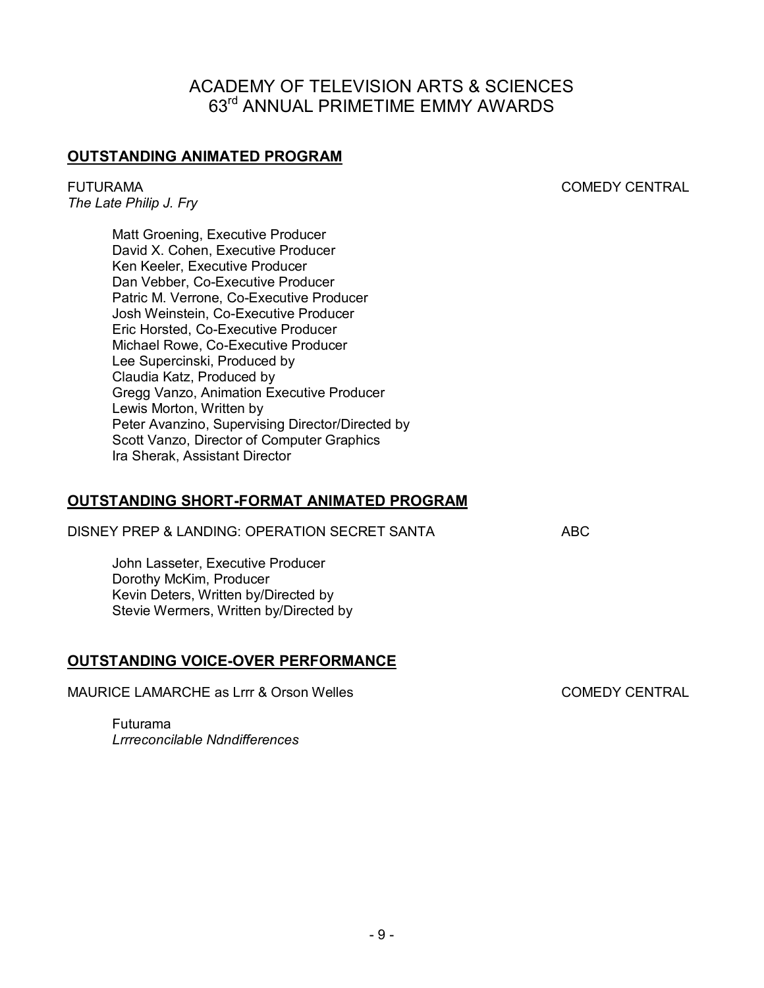#### **OUTSTANDING ANIMATED PROGRAM**

FUTURAMACOMEDY CENTRAL

*The Late Philip J. Fry* 

Matt Groening, Executive Producer David X. Cohen, Executive Producer Ken Keeler, Executive Producer Dan Vebber, Co-Executive Producer Patric M. Verrone, Co-Executive Producer Josh Weinstein, Co-Executive Producer Eric Horsted, Co-Executive Producer Michael Rowe, Co-Executive Producer Lee Supercinski, Produced by Claudia Katz, Produced by Gregg Vanzo, Animation Executive Producer Lewis Morton, Written by Peter Avanzino, Supervising Director/Directed by Scott Vanzo, Director of Computer Graphics Ira Sherak, Assistant Director

#### **OUTSTANDING SHORT-FORMAT ANIMATED PROGRAM**

DISNEY PREP & LANDING: OPERATION SECRET SANTA ABC

John Lasseter, Executive Producer Dorothy McKim, Producer Kevin Deters, Written by/Directed by Stevie Wermers, Written by/Directed by

#### **OUTSTANDING VOICE-OVER PERFORMANCE**

MAURICE LAMARCHE as Lrrr & Orson Welles COMEDY CENTRAL

Futurama *Lrrreconcilable Ndndifferences*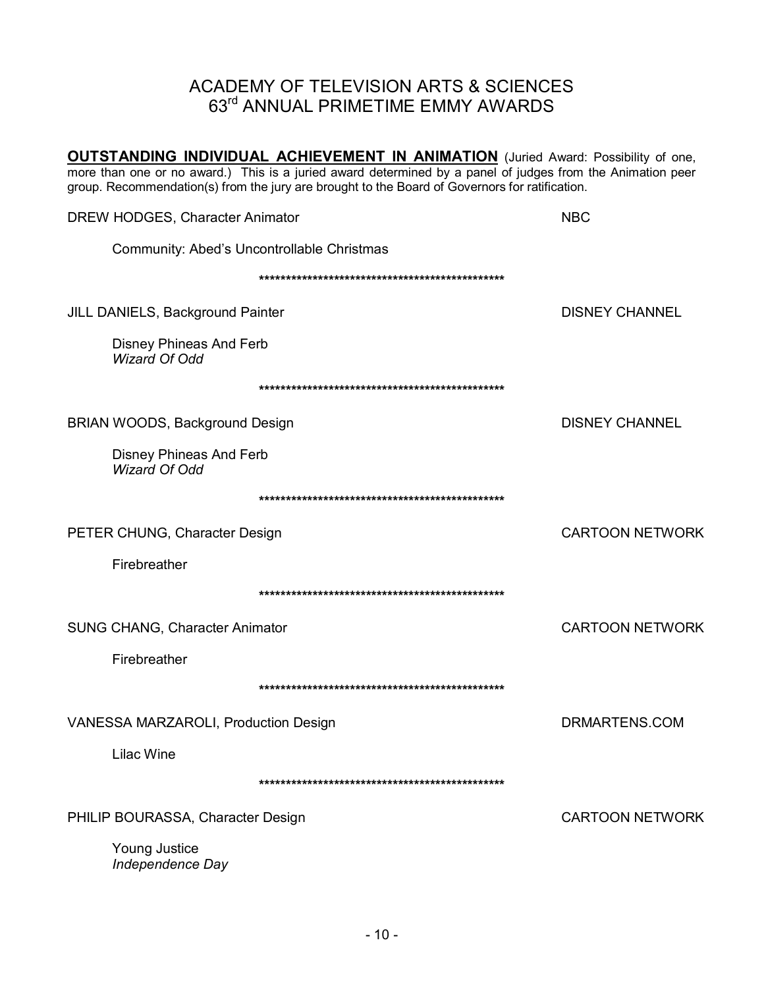**OUTSTANDING INDIVIDUAL ACHIEVEMENT IN ANIMATION** (Juried Award: Possibility of one, more than one or no award.) This is a juried award determined by a panel of judges from the Animation peer group. Recommendation(s) from the jury are brought to the Board of Governors for ratification.

| DREW HODGES, Character Animator                        | <b>NBC</b>             |
|--------------------------------------------------------|------------------------|
| Community: Abed's Uncontrollable Christmas             |                        |
|                                                        |                        |
| JILL DANIELS, Background Painter                       | <b>DISNEY CHANNEL</b>  |
| <b>Disney Phineas And Ferb</b><br><b>Wizard Of Odd</b> |                        |
|                                                        |                        |
| BRIAN WOODS, Background Design                         | <b>DISNEY CHANNEL</b>  |
| <b>Disney Phineas And Ferb</b><br>Wizard Of Odd        |                        |
|                                                        |                        |
| PETER CHUNG, Character Design                          | <b>CARTOON NETWORK</b> |
| Firebreather                                           |                        |
|                                                        |                        |
| SUNG CHANG, Character Animator                         | <b>CARTOON NETWORK</b> |
| Firebreather                                           |                        |
|                                                        |                        |
| VANESSA MARZAROLI, Production Design                   | DRMARTENS.COM          |
| <b>Lilac Wine</b>                                      |                        |
|                                                        |                        |
| PHILIP BOURASSA, Character Design                      | <b>CARTOON NETWORK</b> |
| Young Justice<br>Independence Day                      |                        |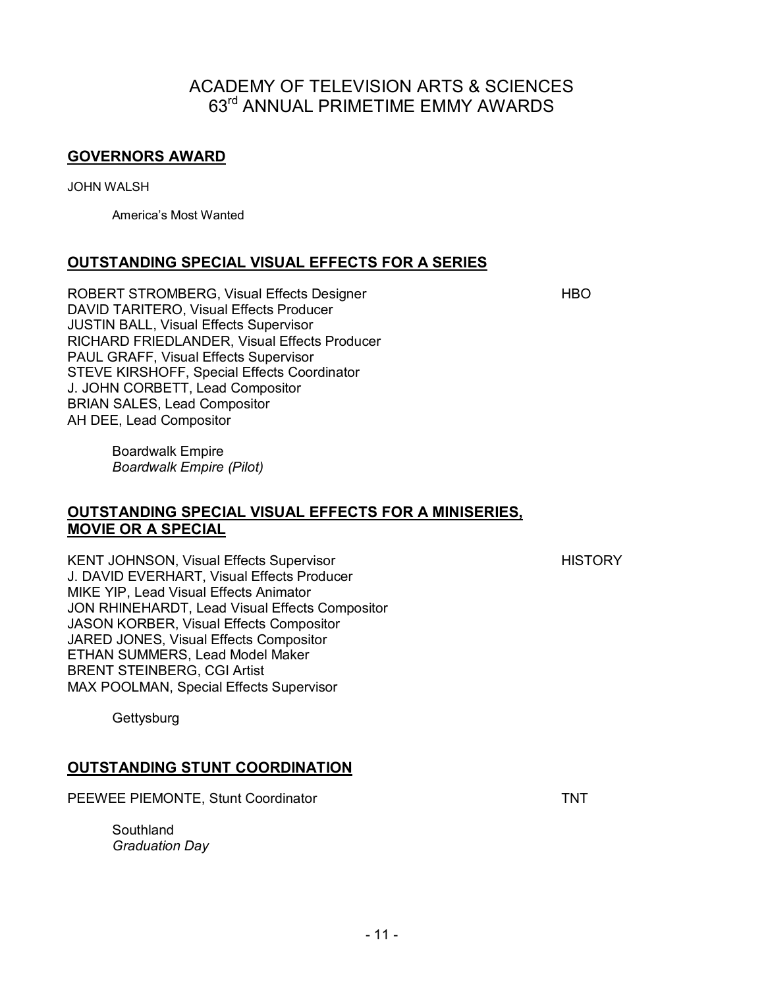#### **GOVERNORS AWARD**

JOHN WALSH

America's Most Wanted

#### **OUTSTANDING SPECIAL VISUAL EFFECTS FOR A SERIES**

ROBERT STROMBERG, Visual Effects Designer **HBO** DAVID TARITERO, Visual Effects Producer JUSTIN BALL, Visual Effects Supervisor RICHARD FRIEDLANDER, Visual Effects Producer PAUL GRAFF, Visual Effects Supervisor STEVE KIRSHOFF, Special Effects Coordinator J. JOHN CORBETT, Lead Compositor BRIAN SALES, Lead Compositor AH DEE, Lead Compositor

Boardwalk Empire *Boardwalk Empire (Pilot)* 

#### **OUTSTANDING SPECIAL VISUAL EFFECTS FOR A MINISERIES, MOVIE OR A SPECIAL**

KENT JOHNSON, Visual Effects Supervisor **HISTORY** HISTORY J. DAVID EVERHART, Visual Effects Producer MIKE YIP, Lead Visual Effects Animator JON RHINEHARDT, Lead Visual Effects Compositor JASON KORBER, Visual Effects Compositor JARED JONES, Visual Effects Compositor ETHAN SUMMERS, Lead Model Maker BRENT STEINBERG, CGI Artist MAX POOLMAN, Special Effects Supervisor

**Gettysburg** 

#### **OUTSTANDING STUNT COORDINATION**

PEEWEE PIEMONTE, Stunt Coordinator TNT

**Southland** *Graduation Day*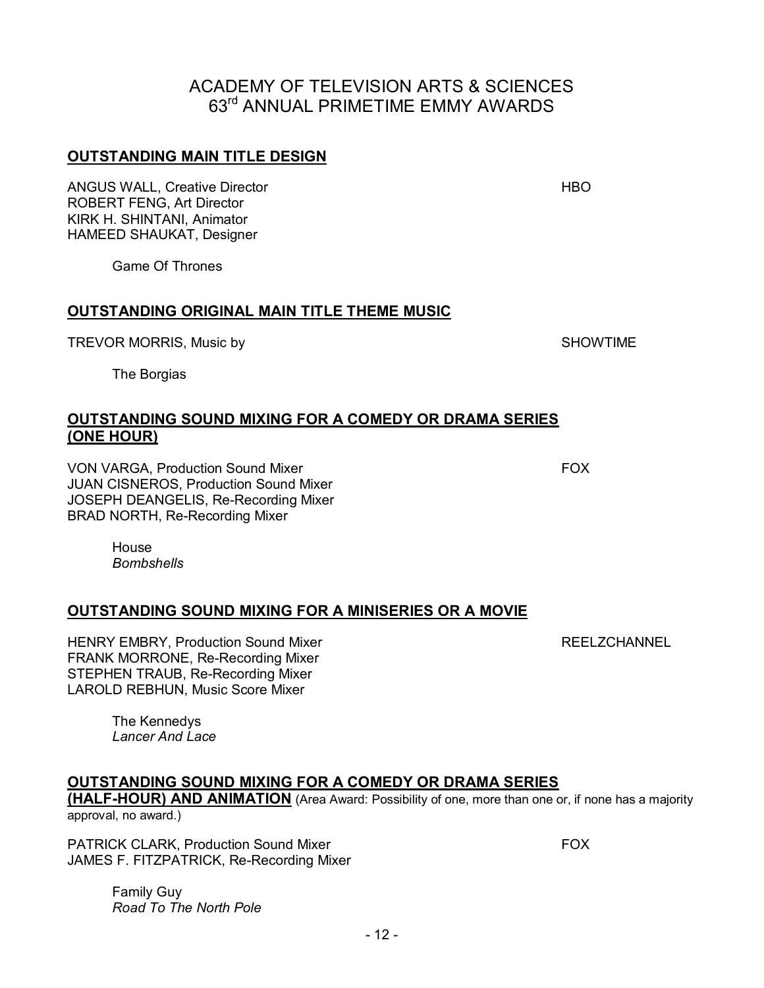- 12 -

### ACADEMY OF TELEVISION ARTS & SCIENCES 63rd ANNUAL PRIMETIME EMMY AWARDS

#### **OUTSTANDING MAIN TITLE DESIGN**

ANGUS WALL, Creative Director **HBO** ROBERT FENG, Art Director KIRK H. SHINTANI, Animator HAMEED SHAUKAT, Designer

Game Of Thrones

#### **OUTSTANDING ORIGINAL MAIN TITLE THEME MUSIC**

TREVOR MORRIS, Music by SHOWTIME

The Borgias

#### **OUTSTANDING SOUND MIXING FOR A COMEDY OR DRAMA SERIES (ONE HOUR)**

VON VARGA, Production Sound Mixer FOX JUAN CISNEROS, Production Sound Mixer JOSEPH DEANGELIS, Re-Recording Mixer BRAD NORTH, Re-Recording Mixer

**House** *Bombshells* 

#### **OUTSTANDING SOUND MIXING FOR A MINISERIES OR A MOVIE**

HENRY EMBRY, Production Sound Mixer **Repart Controller Strutter REELZCHANNEL** FRANK MORRONE, Re-Recording Mixer STEPHEN TRAUB, Re-Recording Mixer LAROLD REBHUN, Music Score Mixer

The Kennedys *Lancer And Lace* 

#### **OUTSTANDING SOUND MIXING FOR A COMEDY OR DRAMA SERIES**

**(HALF-HOUR) AND ANIMATION** (Area Award: Possibility of one, more than one or, if none has a majority approval, no award.)

PATRICK CLARK, Production Sound Mixer FOX JAMES F. FITZPATRICK, Re-Recording Mixer

Family Guy *Road To The North Pole*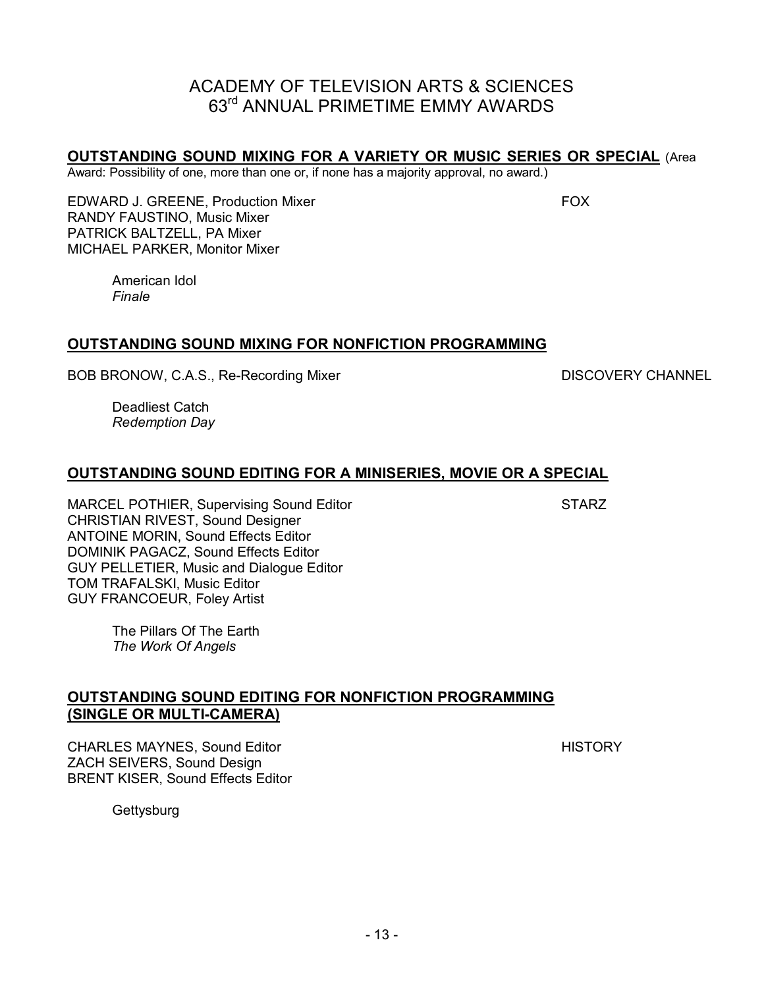#### **OUTSTANDING SOUND MIXING FOR A VARIETY OR MUSIC SERIES OR SPECIAL** (Area

Award: Possibility of one, more than one or, if none has a majority approval, no award.)

EDWARD J. GREENE, Production Mixer FOX FOX RANDY FAUSTINO, Music Mixer PATRICK BALTZELL, PA Mixer MICHAEL PARKER, Monitor Mixer

American Idol *Finale*

#### **OUTSTANDING SOUND MIXING FOR NONFICTION PROGRAMMING**

BOB BRONOW, C.A.S., Re-Recording Mixer DISCOVERY CHANNEL

Deadliest Catch *Redemption Day* 

#### **OUTSTANDING SOUND EDITING FOR A MINISERIES, MOVIE OR A SPECIAL**

MARCEL POTHIER, Supervising Sound Editor State State State State State State State State State State State State State State State State State State State State State State State State State State State State State State S CHRISTIAN RIVEST, Sound Designer ANTOINE MORIN, Sound Effects Editor DOMINIK PAGACZ, Sound Effects Editor GUY PELLETIER, Music and Dialogue Editor TOM TRAFALSKI, Music Editor GUY FRANCOEUR, Foley Artist

The Pillars Of The Earth *The Work Of Angels* 

#### **OUTSTANDING SOUND EDITING FOR NONFICTION PROGRAMMING (SINGLE OR MULTI-CAMERA)**

CHARLES MAYNES, Sound Editor **HISTORY HISTORY** ZACH SEIVERS, Sound Design BRENT KISER, Sound Effects Editor

**Gettysburg**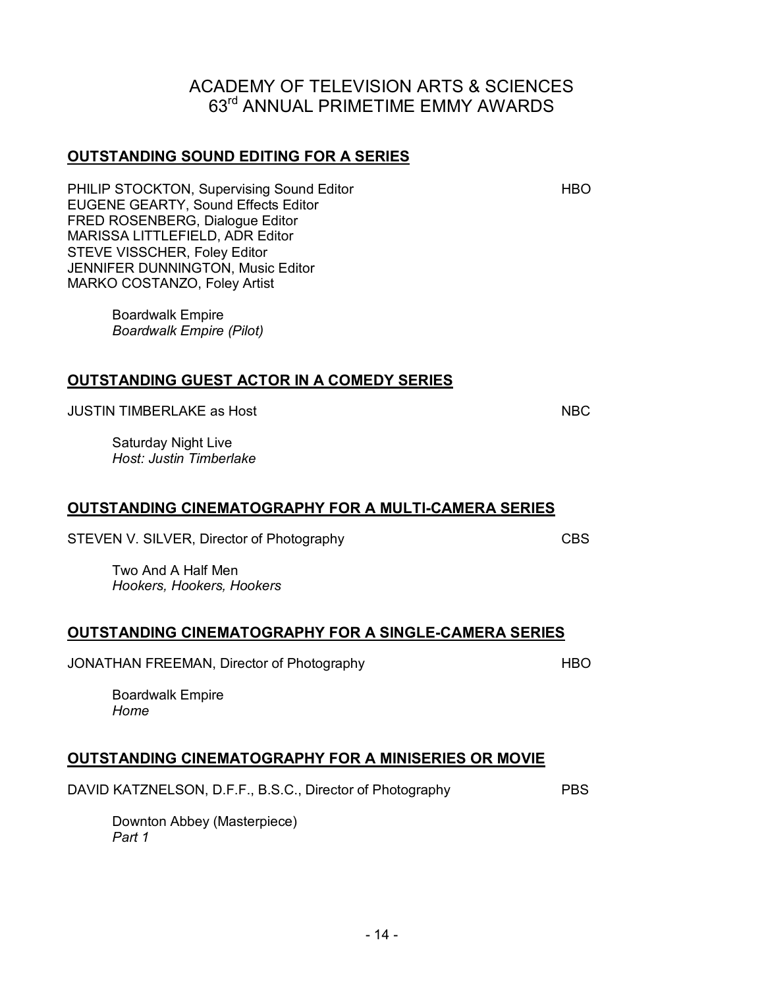# **OUTSTANDING GUEST ACTOR IN A COMEDY SERIES**

JUSTIN TIMBERLAKE as Host NBC NBC NBC

Saturday Night Live *Host: Justin Timberlake*

#### **OUTSTANDING CINEMATOGRAPHY FOR A MULTI-CAMERA SERIES**

STEVEN V. SILVER, Director of Photography CBS

**OUTSTANDING SOUND EDITING FOR A SERIES**

EUGENE GEARTY, Sound Effects Editor FRED ROSENBERG, Dialogue Editor MARISSA LITTLEFIELD, ADR Editor STEVE VISSCHER, Foley Editor

JENNIFER DUNNINGTON, Music Editor

*Boardwalk Empire (Pilot)* 

MARKO COSTANZO, Foley Artist

Boardwalk Empire

Two And A Half Men *Hookers, Hookers, Hookers* 

#### **OUTSTANDING CINEMATOGRAPHY FOR A SINGLE-CAMERA SERIES**

JONATHAN FREEMAN, Director of Photography **HBO** 

Boardwalk Empire *Home* 

#### **OUTSTANDING CINEMATOGRAPHY FOR A MINISERIES OR MOVIE**

DAVID KATZNELSON, D.F.F., B.S.C., Director of Photography PBS

Downton Abbey (Masterpiece) *Part 1* 

#### ACADEMY OF TELEVISION ARTS & SCIENCES 63rd ANNUAL PRIMETIME EMMY AWARDS

PHILIP STOCKTON, Supervising Sound Editor **HBO**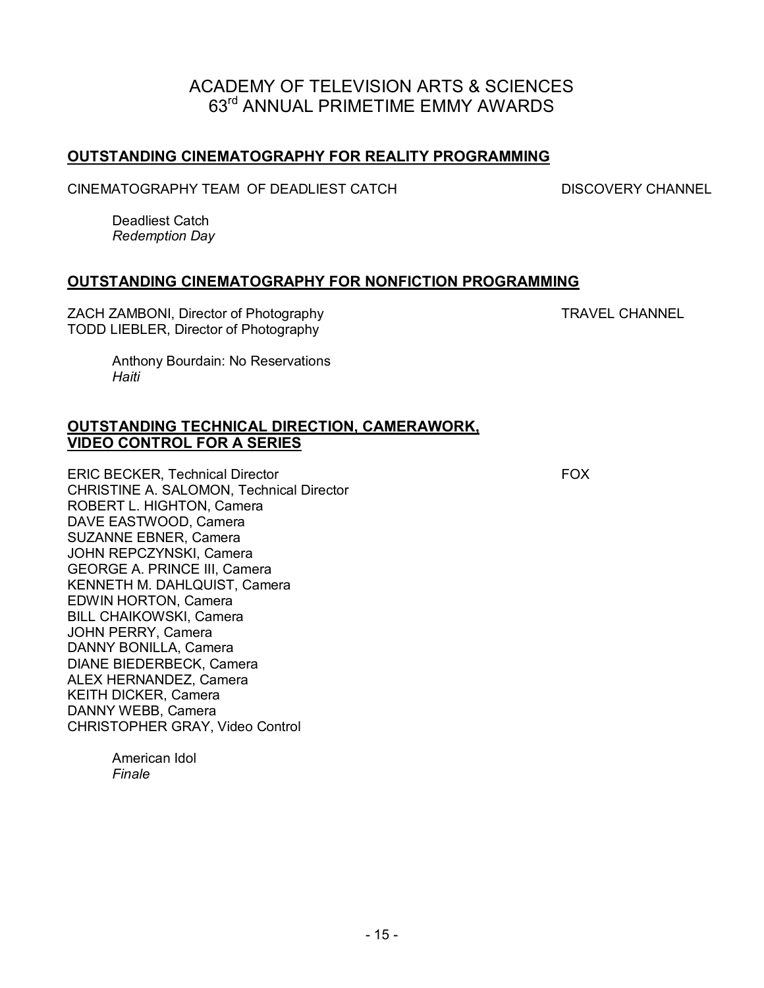#### **OUTSTANDING CINEMATOGRAPHY FOR REALITY PROGRAMMING**

CINEMATOGRAPHY TEAM OF DEADLIEST CATCH DISCOVERY CHANNEL

Deadliest Catch *Redemption Day* 

#### **OUTSTANDING CINEMATOGRAPHY FOR NONFICTION PROGRAMMING**

ZACH ZAMBONI, Director of Photography TRAVEL CHANNEL TODD LIEBLER, Director of Photography

Anthony Bourdain: No Reservations *Haiti* 

#### **OUTSTANDING TECHNICAL DIRECTION, CAMERAWORK, VIDEO CONTROL FOR A SERIES**

ERIC BECKER, Technical Director FOX CHRISTINE A. SALOMON, Technical Director ROBERT L. HIGHTON, Camera DAVE EASTWOOD, Camera SUZANNE EBNER, Camera JOHN REPCZYNSKI, Camera GEORGE A. PRINCE III, Camera KENNETH M. DAHLQUIST, Camera EDWIN HORTON, Camera BILL CHAIKOWSKI, Camera JOHN PERRY, Camera DANNY BONILLA, Camera DIANE BIEDERBECK, Camera ALEX HERNANDEZ, Camera KEITH DICKER, Camera DANNY WEBB, Camera CHRISTOPHER GRAY, Video Control

American Idol *Finale*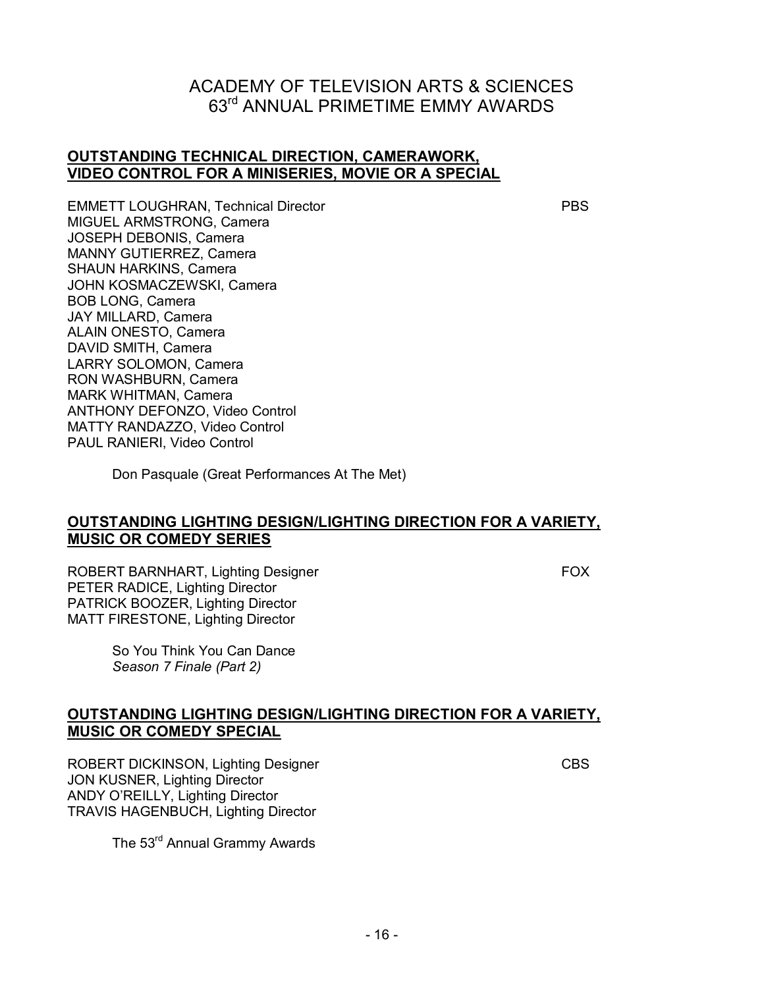#### **OUTSTANDING TECHNICAL DIRECTION, CAMERAWORK, VIDEO CONTROL FOR A MINISERIES, MOVIE OR A SPECIAL**

EMMETT LOUGHRAN, Technical Director **PBS** MIGUEL ARMSTRONG, Camera JOSEPH DEBONIS, Camera MANNY GUTIERREZ, Camera SHAUN HARKINS, Camera JOHN KOSMACZEWSKI, Camera BOB LONG, Camera JAY MILLARD, Camera ALAIN ONESTO, Camera DAVID SMITH, Camera LARRY SOLOMON, Camera RON WASHBURN, Camera MARK WHITMAN, Camera ANTHONY DEFONZO, Video Control MATTY RANDAZZO, Video Control PAUL RANIERI, Video Control

Don Pasquale (Great Performances At The Met)

#### **OUTSTANDING LIGHTING DESIGN/LIGHTING DIRECTION FOR A VARIETY, MUSIC OR COMEDY SERIES**

ROBERT BARNHART, Lighting Designer FOX PETER RADICE, Lighting Director PATRICK BOOZER, Lighting Director MATT FIRESTONE, Lighting Director

So You Think You Can Dance *Season 7 Finale (Part 2)* 

#### **OUTSTANDING LIGHTING DESIGN/LIGHTING DIRECTION FOR A VARIETY, MUSIC OR COMEDY SPECIAL**

ROBERT DICKINSON, Lighting Designer CBS JON KUSNER, Lighting Director ANDY O'REILLY, Lighting Director TRAVIS HAGENBUCH, Lighting Director

The 53<sup>rd</sup> Annual Grammy Awards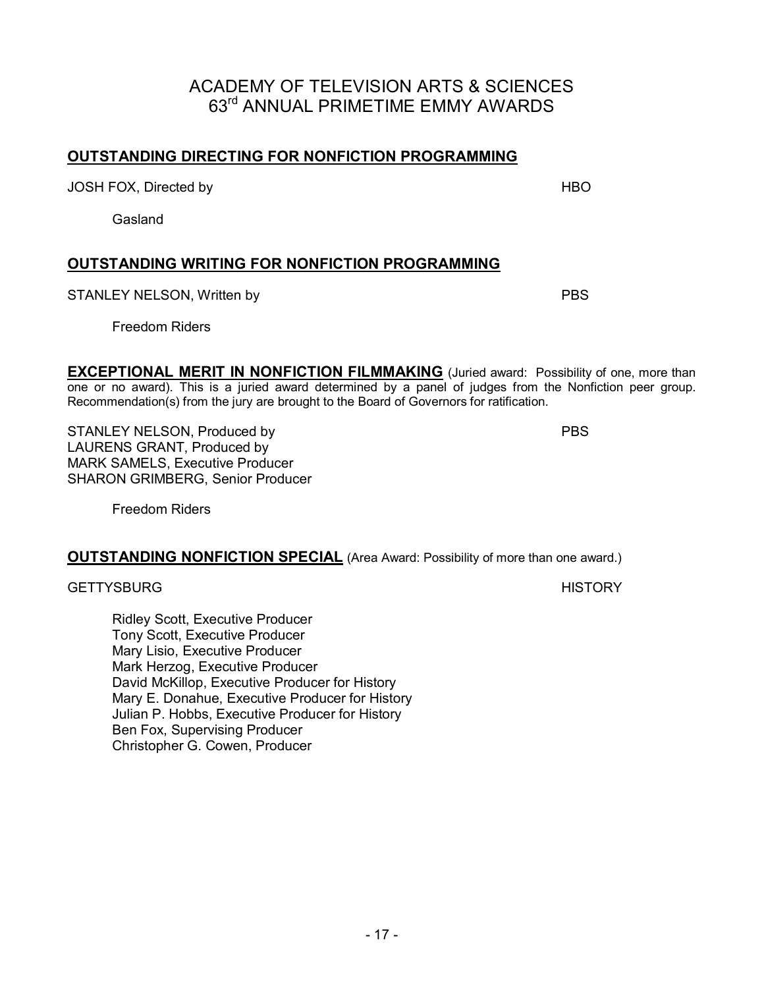#### **OUTSTANDING DIRECTING FOR NONFICTION PROGRAMMING**

JOSH FOX, Directed by HBO

Gasland

#### **OUTSTANDING WRITING FOR NONFICTION PROGRAMMING**

STANLEY NELSON, Written by PBS

Freedom Riders

**EXCEPTIONAL MERIT IN NONFICTION FILMMAKING** (Juried award: Possibility of one, more than one or no award). This is a juried award determined by a panel of judges from the Nonfiction peer group. Recommendation(s) from the jury are brought to the Board of Governors for ratification.

STANLEY NELSON, Produced by PBS LAURENS GRANT, Produced by MARK SAMELS, Executive Producer SHARON GRIMBERG, Senior Producer

Freedom Riders

#### **OUTSTANDING NONFICTION SPECIAL** (Area Award: Possibility of more than one award.)

GETTYSBURG HISTORY

Ridley Scott, Executive Producer Tony Scott, Executive Producer Mary Lisio, Executive Producer Mark Herzog, Executive Producer David McKillop, Executive Producer for History Mary E. Donahue, Executive Producer for History Julian P. Hobbs, Executive Producer for History Ben Fox, Supervising Producer Christopher G. Cowen, Producer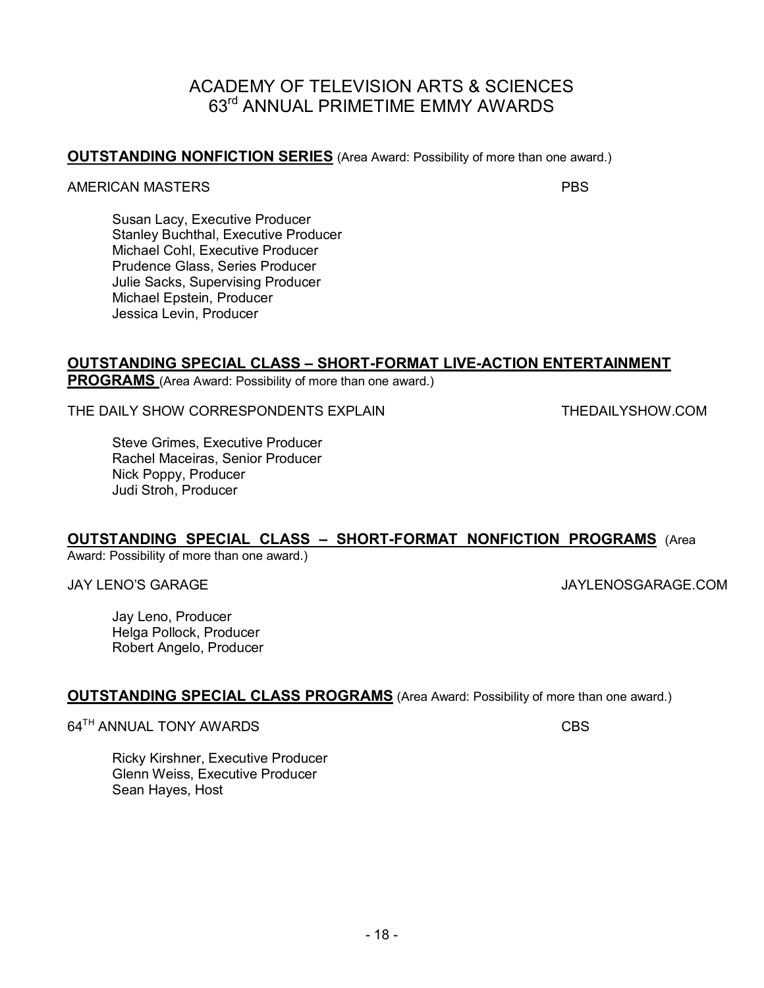#### AMERICAN MASTERSPBS

Susan Lacy, Executive Producer Stanley Buchthal, Executive Producer Michael Cohl, Executive Producer Prudence Glass, Series Producer Julie Sacks, Supervising Producer Michael Epstein, Producer Jessica Levin, Producer

#### **OUTSTANDING SPECIAL CLASS – SHORT-FORMAT LIVE-ACTION ENTERTAINMENT**

**PROGRAMS** (Area Award: Possibility of more than one award.)

THE DAILY SHOW CORRESPONDENTS EXPLAIN THEDAILYSHOW.COM

Steve Grimes, Executive Producer Rachel Maceiras, Senior Producer Nick Poppy, Producer Judi Stroh, Producer

#### **OUTSTANDING SPECIAL CLASS – SHORT-FORMAT NONFICTION PROGRAMS** (Area

Award: Possibility of more than one award.)

JAY LENO'S GARAGE JAYLENOSGARAGE.COM

Jay Leno, Producer Helga Pollock, Producer Robert Angelo, Producer

#### **OUTSTANDING SPECIAL CLASS PROGRAMS** (Area Award: Possibility of more than one award.)

64<sup>TH</sup> ANNUAL TONY AWARDS CBS

Ricky Kirshner, Executive Producer Glenn Weiss, Executive Producer Sean Hayes, Host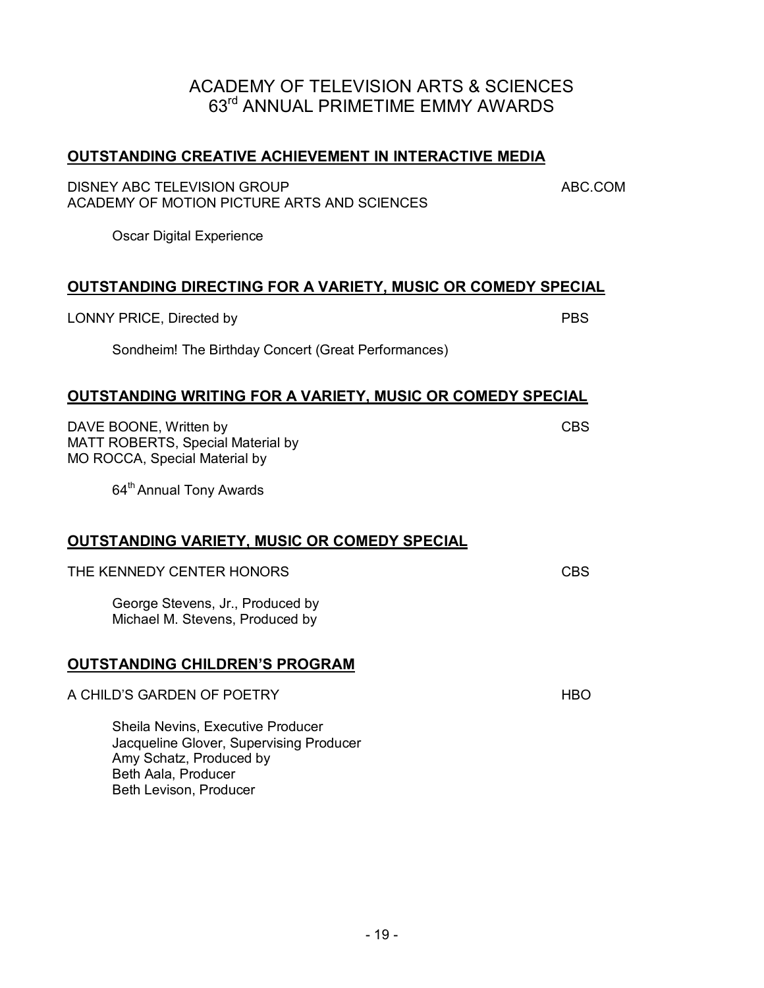#### **OUTSTANDING CREATIVE ACHIEVEMENT IN INTERACTIVE MEDIA**

DISNEY ABC TELEVISION GROUP **ABC.COM** ACADEMY OF MOTION PICTURE ARTS AND SCIENCES

Oscar Digital Experience

#### **OUTSTANDING DIRECTING FOR A VARIETY, MUSIC OR COMEDY SPECIAL**

LONNY PRICE, Directed by PBS

Sondheim! The Birthday Concert (Great Performances)

#### **OUTSTANDING WRITING FOR A VARIETY, MUSIC OR COMEDY SPECIAL**

DAVE BOONE, Written by CBS MATT ROBERTS, Special Material by MO ROCCA, Special Material by

64<sup>th</sup> Annual Tony Awards

#### **OUTSTANDING VARIETY, MUSIC OR COMEDY SPECIAL**

THE KENNEDY CENTER HONORS *CBS* 

George Stevens, Jr., Produced by Michael M. Stevens, Produced by

#### **OUTSTANDING CHILDREN'S PROGRAM**

| A CHILD'S GARDEN OF POETRY |  |
|----------------------------|--|
|                            |  |

Sheila Nevins, Executive Producer Jacqueline Glover, Supervising Producer Amy Schatz, Produced by Beth Aala, Producer Beth Levison, Producer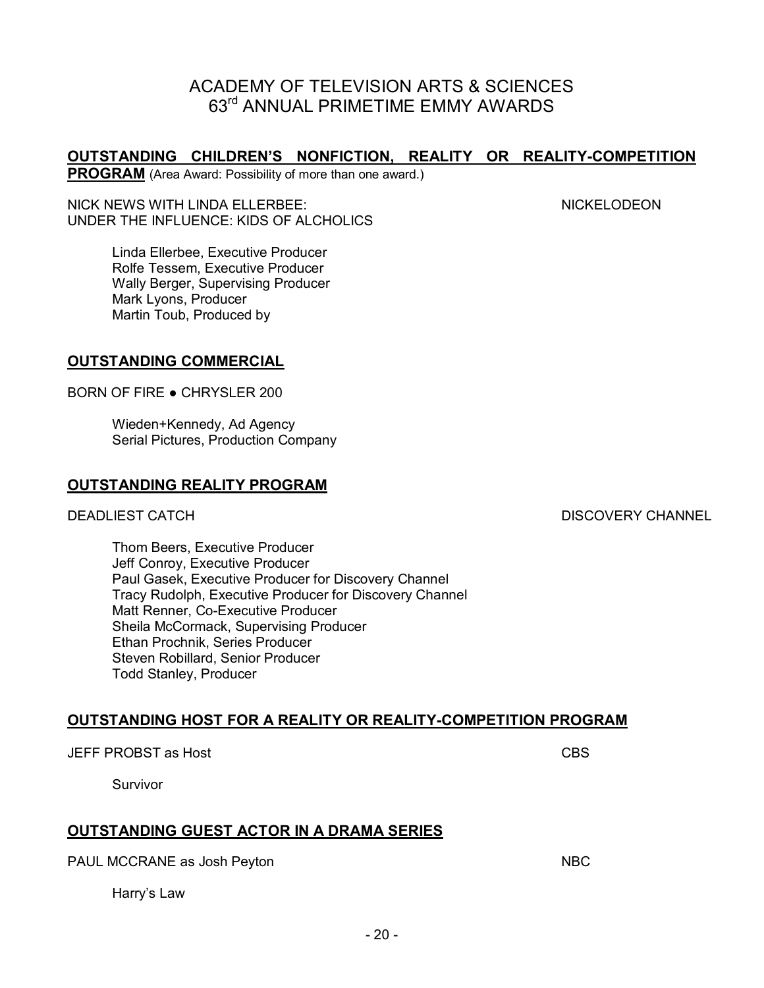# - 20 -

**OUTSTANDING HOST FOR A REALITY OR REALITY-COMPETITION PROGRAM**

ACADEMY OF TELEVISION ARTS & SCIENCES 63rd ANNUAL PRIMETIME EMMY AWARDS

**OUTSTANDING CHILDREN'S NONFICTION, REALITY OR REALITY-COMPETITION**

PAUL MCCRANE as Josh Peyton NBC

Harry's Law

JEFF PROBST as Host CBS

Survivor

Paul Gasek, Executive Producer for Discovery Channel Tracy Rudolph, Executive Producer for Discovery Channel Matt Renner, Co-Executive Producer Sheila McCormack, Supervising Producer Ethan Prochnik, Series Producer Steven Robillard, Senior Producer Todd Stanley, Producer

**OUTSTANDING GUEST ACTOR IN A DRAMA SERIES**

#### **OUTSTANDING REALITY PROGRAM**

**OUTSTANDING COMMERCIAL**

Mark Lyons, Producer Martin Toub, Produced by

BORN OF FIRE ● CHRYSLER 200

Wieden+Kennedy, Ad Agency Serial Pictures, Production Company

**PROGRAM** (Area Award: Possibility of more than one award.)

UNDER THE INFLUENCE: KIDS OF ALCHOLICS

Linda Ellerbee, Executive Producer Rolfe Tessem, Executive Producer Wally Berger, Supervising Producer

Thom Beers, Executive Producer Jeff Conroy, Executive Producer

DEADLIEST CATCH DISCOVERY CHANNEL

NICK NEWS WITH LINDA ELLERBEE: NICKELODEON